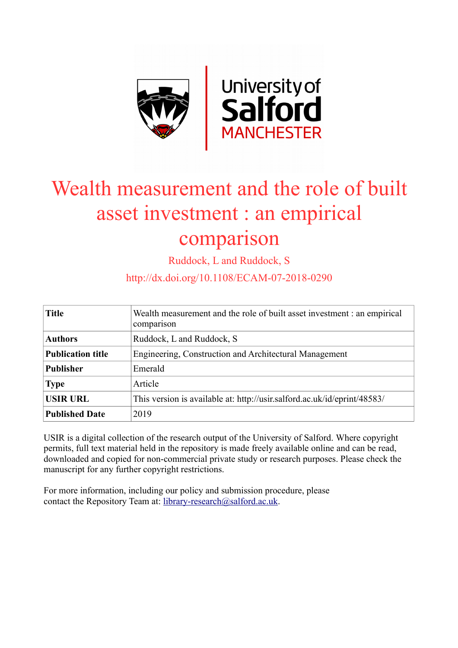

# Wealth measurement and the role of built asset investment : an empirical comparison

Ruddock, L and Ruddock, S

http://dx.doi.org/10.1108/ECAM-07-2018-0290

| <b>Title</b>             | Wealth measurement and the role of built asset investment : an empirical<br>comparison |
|--------------------------|----------------------------------------------------------------------------------------|
| <b>Authors</b>           | Ruddock, L and Ruddock, S                                                              |
| <b>Publication title</b> | Engineering, Construction and Architectural Management                                 |
| <b>Publisher</b>         | Emerald                                                                                |
| <b>Type</b>              | Article                                                                                |
| <b>USIR URL</b>          | This version is available at: http://usir.salford.ac.uk/id/eprint/48583/               |
| <b>Published Date</b>    | 2019                                                                                   |

USIR is a digital collection of the research output of the University of Salford. Where copyright permits, full text material held in the repository is made freely available online and can be read, downloaded and copied for non-commercial private study or research purposes. Please check the manuscript for any further copyright restrictions.

For more information, including our policy and submission procedure, please contact the Repository Team at: [library-research@salford.ac.uk.](mailto:library-research@salford.ac.uk)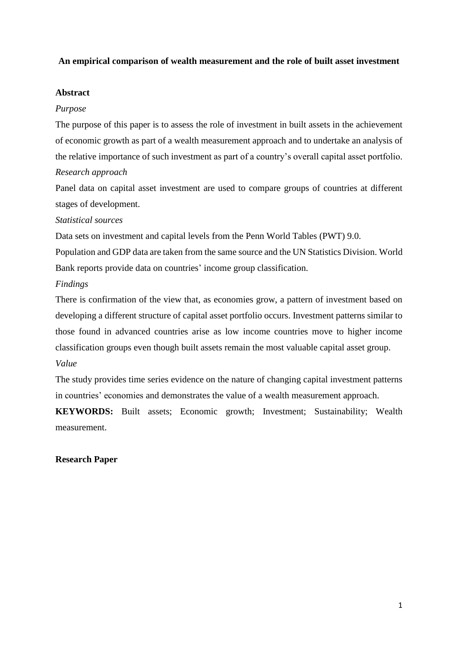## **An empirical comparison of wealth measurement and the role of built asset investment**

#### **Abstract**

#### *Purpose*

The purpose of this paper is to assess the role of investment in built assets in the achievement of economic growth as part of a wealth measurement approach and to undertake an analysis of the relative importance of such investment as part of a country's overall capital asset portfolio.

# *Research approach*

Panel data on capital asset investment are used to compare groups of countries at different stages of development.

#### *Statistical sources*

Data sets on investment and capital levels from the Penn World Tables (PWT) 9.0.

Population and GDP data are taken from the same source and the UN Statistics Division. World Bank reports provide data on countries' income group classification.

# *Findings*

There is confirmation of the view that, as economies grow, a pattern of investment based on developing a different structure of capital asset portfolio occurs. Investment patterns similar to those found in advanced countries arise as low income countries move to higher income classification groups even though built assets remain the most valuable capital asset group. *Value*

The study provides time series evidence on the nature of changing capital investment patterns in countries' economies and demonstrates the value of a wealth measurement approach.

**KEYWORDS:** Built assets; Economic growth; Investment; Sustainability; Wealth measurement.

#### **Research Paper**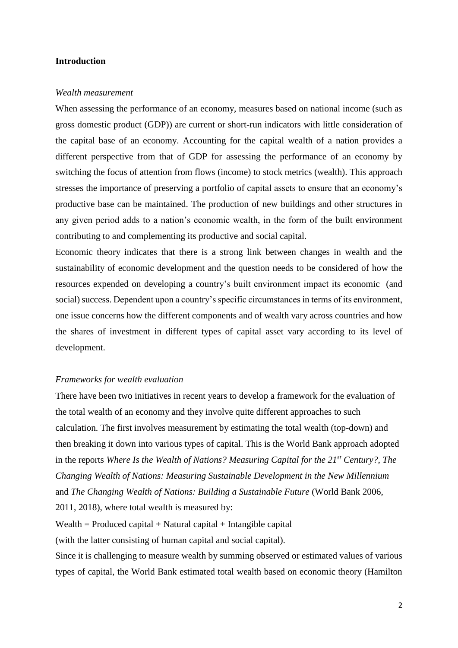#### **Introduction**

#### *Wealth measurement*

When assessing the performance of an economy, measures based on national income (such as gross domestic product (GDP)) are current or short-run indicators with little consideration of the capital base of an economy. Accounting for the capital wealth of a nation provides a different perspective from that of GDP for assessing the performance of an economy by switching the focus of attention from flows (income) to stock metrics (wealth). This approach stresses the importance of preserving a portfolio of capital assets to ensure that an economy's productive base can be maintained. The production of new buildings and other structures in any given period adds to a nation's economic wealth, in the form of the built environment contributing to and complementing its productive and social capital.

Economic theory indicates that there is a strong link between changes in wealth and the sustainability of economic development and the question needs to be considered of how the resources expended on developing a country's built environment impact its economic (and social) success. Dependent upon a country's specific circumstances in terms of its environment, one issue concerns how the different components and of wealth vary across countries and how the shares of investment in different types of capital asset vary according to its level of development.

#### *Frameworks for wealth evaluation*

There have been two initiatives in recent years to develop a framework for the evaluation of the total wealth of an economy and they involve quite different approaches to such calculation. The first involves measurement by estimating the total wealth (top-down) and then breaking it down into various types of capital. This is the World Bank approach adopted in the reports *Where Is the Wealth of Nations? Measuring Capital for the 21st Century?*, *The Changing Wealth of Nations: Measuring Sustainable Development in the New Millennium* and *The Changing Wealth of Nations: Building a Sustainable Future* (World Bank 2006, 2011, 2018), where total wealth is measured by:

 $Wealth = \text{Produced capital} + \text{Natural capital} + \text{Intangible capital}$ 

(with the latter consisting of human capital and social capital).

Since it is challenging to measure wealth by summing observed or estimated values of various types of capital, the World Bank estimated total wealth based on economic theory (Hamilton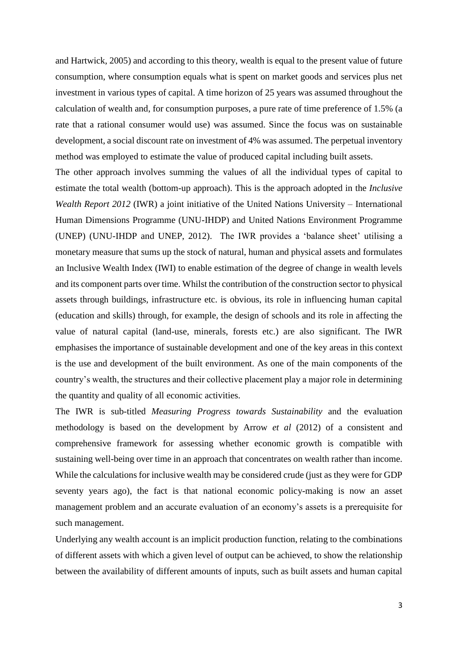and Hartwick, 2005) and according to this theory, wealth is equal to the present value of future consumption, where consumption equals what is spent on market goods and services plus net investment in various types of capital. A time horizon of 25 years was assumed throughout the calculation of wealth and, for consumption purposes, a pure rate of time preference of 1.5% (a rate that a rational consumer would use) was assumed. Since the focus was on sustainable development, a social discount rate on investment of 4% was assumed. The perpetual inventory method was employed to estimate the value of produced capital including built assets.

The other approach involves summing the values of all the individual types of capital to estimate the total wealth (bottom-up approach). This is the approach adopted in the *Inclusive Wealth Report 2012* (IWR) a joint initiative of the United Nations University – International Human Dimensions Programme (UNU-IHDP) and United Nations Environment Programme (UNEP) (UNU-IHDP and UNEP, 2012). The IWR provides a 'balance sheet' utilising a monetary measure that sums up the stock of natural, human and physical assets and formulates an Inclusive Wealth Index (IWI) to enable estimation of the degree of change in wealth levels and its component parts over time. Whilst the contribution of the construction sector to physical assets through buildings, infrastructure etc. is obvious, its role in influencing human capital (education and skills) through, for example, the design of schools and its role in affecting the value of natural capital (land-use, minerals, forests etc.) are also significant. The IWR emphasises the importance of sustainable development and one of the key areas in this context is the use and development of the built environment. As one of the main components of the country's wealth, the structures and their collective placement play a major role in determining the quantity and quality of all economic activities.

The IWR is sub-titled *Measuring Progress towards Sustainability* and the evaluation methodology is based on the development by Arrow *et al* (2012) of a consistent and comprehensive framework for assessing whether economic growth is compatible with sustaining well-being over time in an approach that concentrates on wealth rather than income. While the calculations for inclusive wealth may be considered crude (just as they were for GDP seventy years ago), the fact is that national economic policy-making is now an asset management problem and an accurate evaluation of an economy's assets is a prerequisite for such management.

Underlying any wealth account is an implicit production function, relating to the combinations of different assets with which a given level of output can be achieved, to show the relationship between the availability of different amounts of inputs, such as built assets and human capital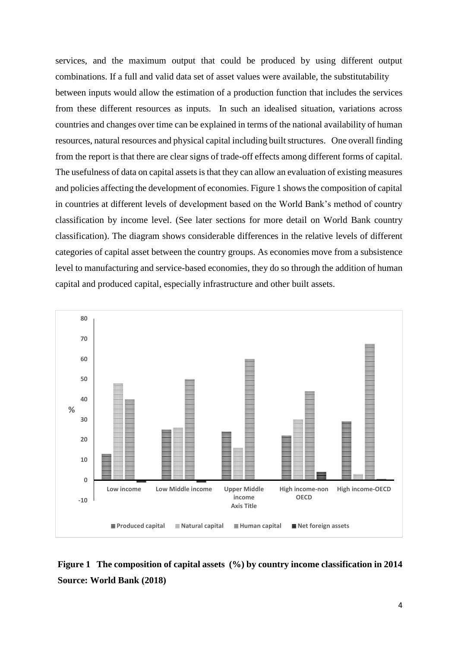services, and the maximum output that could be produced by using different output combinations. If a full and valid data set of asset values were available, the substitutability between inputs would allow the estimation of a production function that includes the services from these different resources as inputs. In such an idealised situation, variations across countries and changes over time can be explained in terms of the national availability of human resources, natural resources and physical capital including built structures. One overall finding from the report is that there are clear signs of trade-off effects among different forms of capital. The usefulness of data on capital assets is that they can allow an evaluation of existing measures and policies affecting the development of economies. Figure 1 shows the composition of capital in countries at different levels of development based on the World Bank's method of country classification by income level. (See later sections for more detail on World Bank country classification). The diagram shows considerable differences in the relative levels of different categories of capital asset between the country groups. As economies move from a subsistence level to manufacturing and service-based economies, they do so through the addition of human capital and produced capital, especially infrastructure and other built assets.



**Figure 1 The composition of capital assets (%) by country income classification in 2014 Source: World Bank (2018)**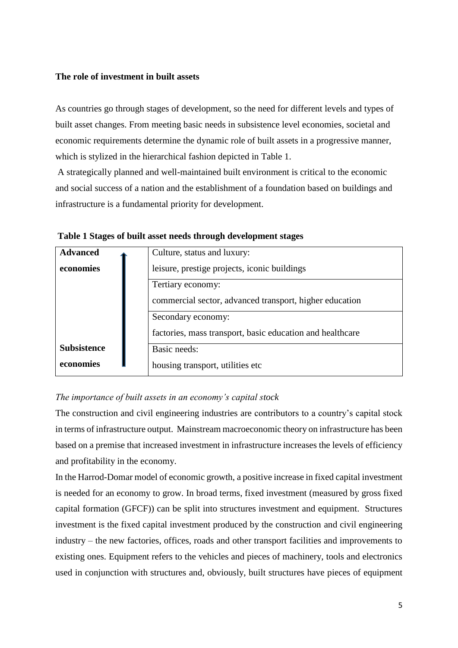## **The role of investment in built assets**

As countries go through stages of development, so the need for different levels and types of built asset changes. From meeting basic needs in subsistence level economies, societal and economic requirements determine the dynamic role of built assets in a progressive manner, which is stylized in the hierarchical fashion depicted in Table 1.

A strategically planned and well-maintained built environment is critical to the economic and social success of a nation and the establishment of a foundation based on buildings and infrastructure is a fundamental priority for development.

| <b>Advanced</b>    | Culture, status and luxury:                               |
|--------------------|-----------------------------------------------------------|
| economies          | leisure, prestige projects, iconic buildings              |
|                    | Tertiary economy:                                         |
|                    | commercial sector, advanced transport, higher education   |
|                    | Secondary economy:                                        |
|                    | factories, mass transport, basic education and healthcare |
| <b>Subsistence</b> | Basic needs:                                              |
| economies          | housing transport, utilities etc                          |

**Table 1 Stages of built asset needs through development stages**

# *The importance of built assets in an economy's capital stock*

The construction and civil engineering industries are contributors to a country's capital stock in terms of infrastructure output. Mainstream macroeconomic theory on infrastructure has been based on a premise that increased investment in infrastructure increases the levels of efficiency and profitability in the economy.

In the Harrod-Domar model of economic growth, a positive increase in fixed capital investment is needed for an economy to grow. In broad terms, fixed investment (measured by gross fixed capital formation (GFCF)) can be split into structures investment and equipment. Structures investment is the fixed capital investment produced by the construction and civil engineering industry – the new factories, offices, roads and other transport facilities and improvements to existing ones. Equipment refers to the vehicles and pieces of machinery, tools and electronics used in conjunction with structures and, obviously, built structures have pieces of equipment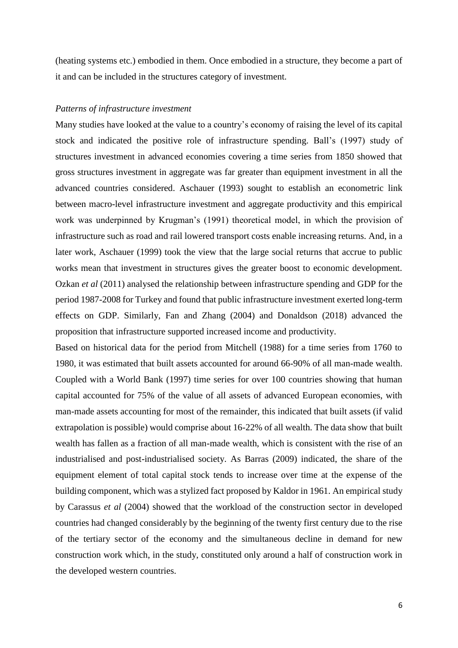(heating systems etc.) embodied in them. Once embodied in a structure, they become a part of it and can be included in the structures category of investment.

#### *Patterns of infrastructure investment*

Many studies have looked at the value to a country's economy of raising the level of its capital stock and indicated the positive role of infrastructure spending. Ball's (1997) study of structures investment in advanced economies covering a time series from 1850 showed that gross structures investment in aggregate was far greater than equipment investment in all the advanced countries considered. Aschauer (1993) sought to establish an econometric link between macro-level infrastructure investment and aggregate productivity and this empirical work was underpinned by Krugman's (1991) theoretical model, in which the provision of infrastructure such as road and rail lowered transport costs enable increasing returns. And, in a later work, Aschauer (1999) took the view that the large social returns that accrue to public works mean that investment in structures gives the greater boost to economic development. Ozkan *et al* (2011) analysed the relationship between infrastructure spending and GDP for the period 1987-2008 for Turkey and found that public infrastructure investment exerted long-term effects on GDP. Similarly, Fan and Zhang (2004) and Donaldson (2018) advanced the proposition that infrastructure supported increased income and productivity.

Based on historical data for the period from Mitchell (1988) for a time series from 1760 to 1980, it was estimated that built assets accounted for around 66-90% of all man-made wealth. Coupled with a World Bank (1997) time series for over 100 countries showing that human capital accounted for 75% of the value of all assets of advanced European economies, with man-made assets accounting for most of the remainder, this indicated that built assets (if valid extrapolation is possible) would comprise about 16-22% of all wealth. The data show that built wealth has fallen as a fraction of all man-made wealth, which is consistent with the rise of an industrialised and post-industrialised society. As Barras (2009) indicated, the share of the equipment element of total capital stock tends to increase over time at the expense of the building component, which was a stylized fact proposed by Kaldor in 1961. An empirical study by Carassus *et al* (2004) showed that the workload of the construction sector in developed countries had changed considerably by the beginning of the twenty first century due to the rise of the tertiary sector of the economy and the simultaneous decline in demand for new construction work which, in the study, constituted only around a half of construction work in the developed western countries.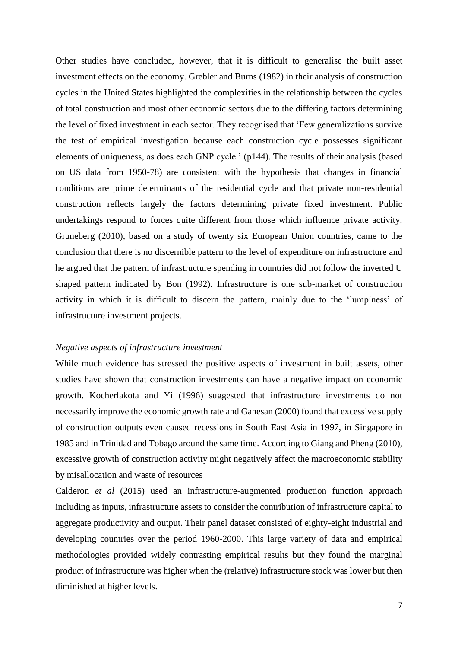Other studies have concluded, however, that it is difficult to generalise the built asset investment effects on the economy. Grebler and Burns (1982) in their analysis of construction cycles in the United States highlighted the complexities in the relationship between the cycles of total construction and most other economic sectors due to the differing factors determining the level of fixed investment in each sector. They recognised that 'Few generalizations survive the test of empirical investigation because each construction cycle possesses significant elements of uniqueness, as does each GNP cycle.' (p144). The results of their analysis (based on US data from 1950-78) are consistent with the hypothesis that changes in financial conditions are prime determinants of the residential cycle and that private non-residential construction reflects largely the factors determining private fixed investment. Public undertakings respond to forces quite different from those which influence private activity. Gruneberg (2010), based on a study of twenty six European Union countries, came to the conclusion that there is no discernible pattern to the level of expenditure on infrastructure and he argued that the pattern of infrastructure spending in countries did not follow the inverted U shaped pattern indicated by Bon (1992). Infrastructure is one sub-market of construction activity in which it is difficult to discern the pattern, mainly due to the 'lumpiness' of infrastructure investment projects.

#### *Negative aspects of infrastructure investment*

While much evidence has stressed the positive aspects of investment in built assets, other studies have shown that construction investments can have a negative impact on economic growth. Kocherlakota and Yi (1996) suggested that infrastructure investments do not necessarily improve the economic growth rate and Ganesan (2000) found that excessive supply of construction outputs even caused recessions in South East Asia in 1997, in Singapore in 1985 and in Trinidad and Tobago around the same time. According to Giang and Pheng (2010), excessive growth of construction activity might negatively affect the macroeconomic stability by misallocation and waste of resources

Calderon *et al* (2015) used an infrastructure-augmented production function approach including as inputs, infrastructure assets to consider the contribution of infrastructure capital to aggregate productivity and output. Their panel dataset consisted of eighty-eight industrial and developing countries over the period 1960-2000. This large variety of data and empirical methodologies provided widely contrasting empirical results but they found the marginal product of infrastructure was higher when the (relative) infrastructure stock was lower but then diminished at higher levels.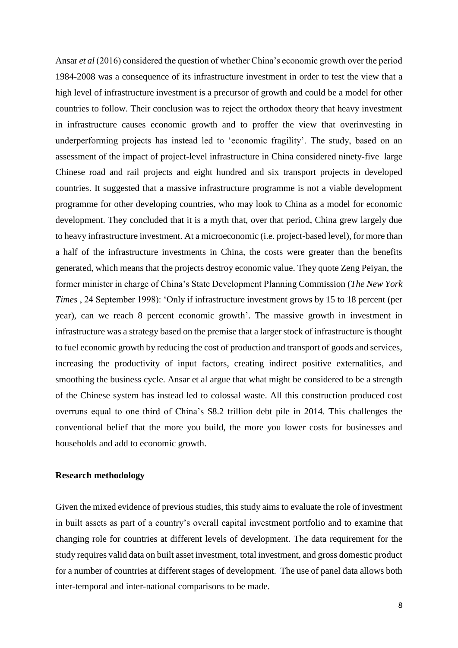Ansar *et al* (2016) considered the question of whether China's economic growth over the period 1984-2008 was a consequence of its infrastructure investment in order to test the view that a high level of infrastructure investment is a precursor of growth and could be a model for other countries to follow. Their conclusion was to reject the orthodox theory that heavy investment in infrastructure causes economic growth and to proffer the view that overinvesting in underperforming projects has instead led to 'economic fragility'. The study, based on an assessment of the impact of project-level infrastructure in China considered ninety-five large Chinese road and rail projects and eight hundred and six transport projects in developed countries. It suggested that a massive infrastructure programme is not a viable development programme for other developing countries, who may look to China as a model for economic development. They concluded that it is a myth that, over that period, China grew largely due to heavy infrastructure investment. At a microeconomic (i.e. project-based level), for more than a half of the infrastructure investments in China, the costs were greater than the benefits generated, which means that the projects destroy economic value. They quote Zeng Peiyan, the former minister in charge of China's State Development Planning Commission (*The New York Times* , 24 September 1998): 'Only if infrastructure investment grows by 15 to 18 percent (per year), can we reach 8 percent economic growth'. The massive growth in investment in infrastructure was a strategy based on the premise that a larger stock of infrastructure is thought to fuel economic growth by reducing the cost of production and transport of goods and services, increasing the productivity of input factors, creating indirect positive externalities, and smoothing the business cycle. Ansar et al argue that what might be considered to be a strength of the Chinese system has instead led to colossal waste. All this construction produced cost overruns equal to one third of China's \$8.2 trillion debt pile in 2014. This challenges the conventional belief that the more you build, the more you lower costs for businesses and households and add to economic growth.

#### **Research methodology**

Given the mixed evidence of previous studies, this study aims to evaluate the role of investment in built assets as part of a country's overall capital investment portfolio and to examine that changing role for countries at different levels of development. The data requirement for the study requires valid data on built asset investment, total investment, and gross domestic product for a number of countries at different stages of development. The use of panel data allows both inter-temporal and inter-national comparisons to be made.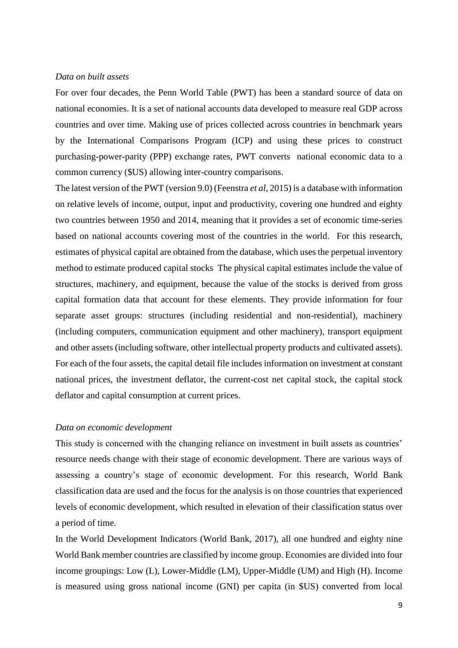#### *Data on built assets*

For over four decades, the Penn World Table (PWT) has been a standard source of data on national economies. It is a set of national accounts data developed to measure real GDP across countries and over time. Making use of prices collected across countries in benchmark years by the International Comparisons Program (ICP) and using these prices to construct purchasing-power-parity (PPP) exchange rates, PWT converts national economic data to a common currency (\$US) allowing inter-country comparisons.

The latest version of the PWT (version 9.0) (Feenstra *et al*, 2015) is a database with information on relative levels of income, output, input and productivity, covering one hundred and eighty two countries between 1950 and 2014, meaning that it provides a set of economic time-series based on national accounts covering most of the countries in the world. For this research, estimates of physical capital are obtained from the database, which uses the perpetual inventory method to estimate produced capital stocks The physical capital estimates include the value of structures, machinery, and equipment, because the value of the stocks is derived from gross capital formation data that account for these elements. They provide information for four separate asset groups: structures (including residential and non-residential), machinery (including computers, communication equipment and other machinery), transport equipment and other assets (including software, other intellectual property products and cultivated assets). For each of the four assets, the capital detail file includes information on investment at constant national prices, the investment deflator, the current-cost net capital stock, the capital stock deflator and capital consumption at current prices.

#### *Data on economic development*

This study is concerned with the changing reliance on investment in built assets as countries' resource needs change with their stage of economic development. There are various ways of assessing a country's stage of economic development. For this research, World Bank classification data are used and the focus for the analysis is on those countries that experienced levels of economic development, which resulted in elevation of their classification status over a period of time.

In the World Development Indicators (World Bank, 2017), all one hundred and eighty nine World Bank member countries are classified by income group. Economies are divided into four income groupings: Low (L), Lower-Middle (LM), Upper-Middle (UM) and High (H). Income is measured using gross national income (GNI) per capita (in \$US) converted from local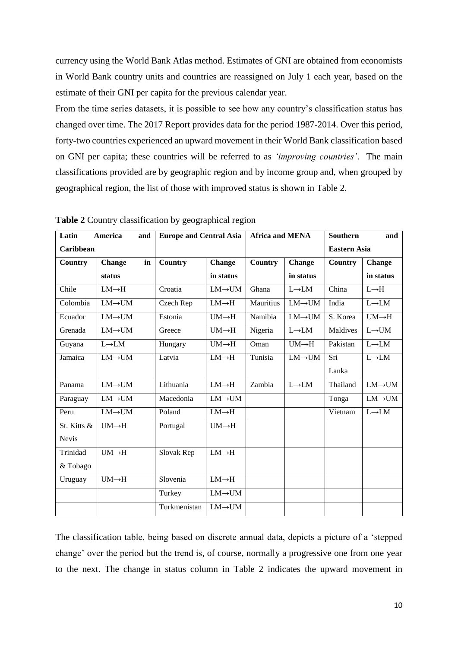currency using the World Bank Atlas method. Estimates of GNI are obtained from economists in World Bank country units and countries are reassigned on July 1 each year, based on the estimate of their GNI per capita for the previous calendar year.

From the time series datasets, it is possible to see how any country's classification status has changed over time. The 2017 Report provides data for the period 1987-2014. Over this period, forty-two countries experienced an upward movement in their World Bank classification based on GNI per capita; these countries will be referred to as *'improving countries'*. The main classifications provided are by geographic region and by income group and, when grouped by geographical region, the list of those with improved status is shown in Table 2.

| Latin        | America<br>and      | <b>Europe and Central Asia</b> |                    | <b>Africa and MENA</b> |                    | <b>Southern</b>     | and                |
|--------------|---------------------|--------------------------------|--------------------|------------------------|--------------------|---------------------|--------------------|
| Caribbean    |                     |                                |                    |                        |                    | <b>Eastern Asia</b> |                    |
| Country      | in<br><b>Change</b> | <b>Country</b>                 | <b>Change</b>      | <b>Country</b>         | <b>Change</b>      | <b>Country</b>      | Change             |
|              | status              |                                | in status          |                        | in status          |                     | in status          |
| Chile        | $LM \rightarrow H$  | Croatia                        | $LM\rightarrow UM$ | Ghana                  | $L\rightarrow LM$  | China               | $L \rightarrow H$  |
| Colombia     | $LM\rightarrow UM$  | Czech Rep                      | $LM \rightarrow H$ | Mauritius              | $LM\rightarrow UM$ | India               | $L\rightarrow LM$  |
| Ecuador      | $LM\rightarrow UM$  | Estonia                        | $UM \rightarrow H$ | Namibia                | $LM\rightarrow UM$ | S. Korea            | $UM \rightarrow H$ |
| Grenada      | $LM\rightarrow UM$  | Greece                         | $UM \rightarrow H$ | Nigeria                | $L \rightarrow LM$ | Maldives            | $L\rightarrow UM$  |
| Guyana       | $L\rightarrow LM$   | Hungary                        | $UM \rightarrow H$ | Oman                   | $UM \rightarrow H$ | Pakistan            | $L\rightarrow LM$  |
| Jamaica      | $LM\rightarrow UM$  | Latvia                         | $LM \rightarrow H$ | Tunisia                | $LM\rightarrow UM$ | Sri                 | $L\rightarrow LM$  |
|              |                     |                                |                    |                        |                    | Lanka               |                    |
| Panama       | $LM\rightarrow UM$  | Lithuania                      | $LM \rightarrow H$ | Zambia                 | $L\rightarrow LM$  | Thailand            | $LM\rightarrow UM$ |
| Paraguay     | $LM\rightarrow UM$  | Macedonia                      | $LM\rightarrow UM$ |                        |                    | Tonga               | $LM\rightarrow UM$ |
| Peru         | $LM\rightarrow UM$  | Poland                         | $LM \rightarrow H$ |                        |                    | Vietnam             | $L\rightarrow LM$  |
| St. Kitts &  | $UM \rightarrow H$  | Portugal                       | $UM \rightarrow H$ |                        |                    |                     |                    |
| <b>Nevis</b> |                     |                                |                    |                        |                    |                     |                    |
| Trinidad     | $UM \rightarrow H$  | Slovak Rep                     | $LM \rightarrow H$ |                        |                    |                     |                    |
| & Tobago     |                     |                                |                    |                        |                    |                     |                    |
| Uruguay      | $UM \rightarrow H$  | Slovenia                       | $LM \rightarrow H$ |                        |                    |                     |                    |
|              |                     | Turkey                         | $LM\rightarrow UM$ |                        |                    |                     |                    |
|              |                     | Turkmenistan                   | $LM\rightarrow UM$ |                        |                    |                     |                    |

**Table 2** Country classification by geographical region

The classification table, being based on discrete annual data, depicts a picture of a 'stepped change' over the period but the trend is, of course, normally a progressive one from one year to the next. The change in status column in Table 2 indicates the upward movement in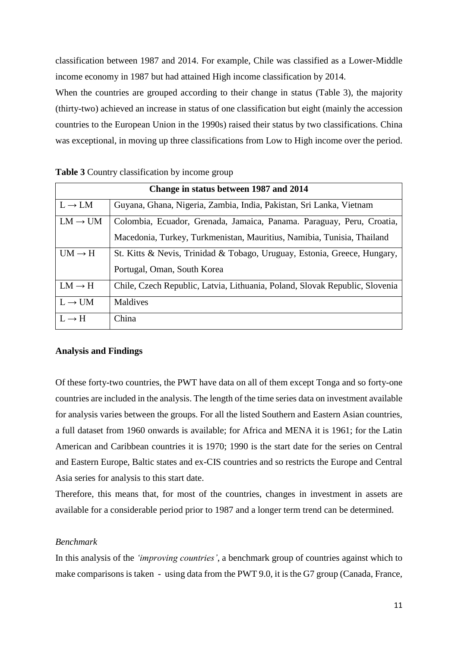classification between 1987 and 2014. For example, Chile was classified as a Lower-Middle income economy in 1987 but had attained High income classification by 2014.

When the countries are grouped according to their change in status (Table 3), the majority (thirty-two) achieved an increase in status of one classification but eight (mainly the accession countries to the European Union in the 1990s) raised their status by two classifications. China was exceptional, in moving up three classifications from Low to High income over the period.

| Change in status between 1987 and 2014 |                                                                             |  |  |
|----------------------------------------|-----------------------------------------------------------------------------|--|--|
| $L \rightarrow LM$                     | Guyana, Ghana, Nigeria, Zambia, India, Pakistan, Sri Lanka, Vietnam         |  |  |
| $LM \rightarrow UM$                    | Colombia, Ecuador, Grenada, Jamaica, Panama. Paraguay, Peru, Croatia,       |  |  |
|                                        | Macedonia, Turkey, Turkmenistan, Mauritius, Namibia, Tunisia, Thailand      |  |  |
| $UM \rightarrow H$                     | St. Kitts & Nevis, Trinidad & Tobago, Uruguay, Estonia, Greece, Hungary,    |  |  |
|                                        | Portugal, Oman, South Korea                                                 |  |  |
| $LM \rightarrow H$                     | Chile, Czech Republic, Latvia, Lithuania, Poland, Slovak Republic, Slovenia |  |  |
| $L \rightarrow UM$                     | Maldives                                                                    |  |  |
| $L \rightarrow H$                      | China                                                                       |  |  |

#### **Analysis and Findings**

Of these forty-two countries, the PWT have data on all of them except Tonga and so forty-one countries are included in the analysis. The length of the time series data on investment available for analysis varies between the groups. For all the listed Southern and Eastern Asian countries, a full dataset from 1960 onwards is available; for Africa and MENA it is 1961; for the Latin American and Caribbean countries it is 1970; 1990 is the start date for the series on Central and Eastern Europe, Baltic states and ex-CIS countries and so restricts the Europe and Central Asia series for analysis to this start date.

Therefore, this means that, for most of the countries, changes in investment in assets are available for a considerable period prior to 1987 and a longer term trend can be determined.

#### *Benchmark*

In this analysis of the *'improving countries'*, a benchmark group of countries against which to make comparisons is taken - using data from the PWT 9.0, it is the G7 group (Canada, France,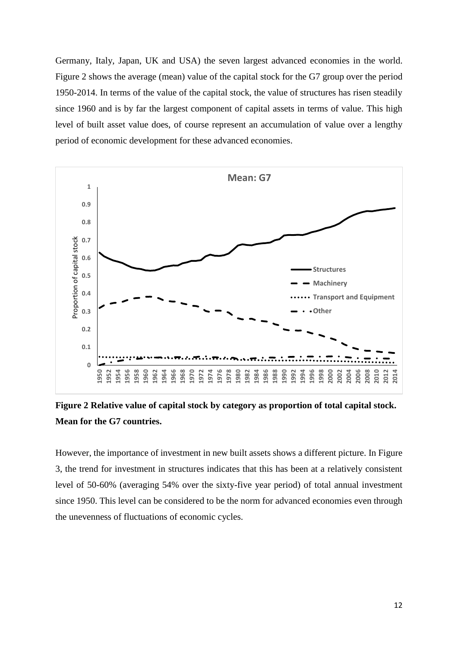Germany, Italy, Japan, UK and USA) the seven largest advanced economies in the world. Figure 2 shows the average (mean) value of the capital stock for the G7 group over the period 1950-2014. In terms of the value of the capital stock, the value of structures has risen steadily since 1960 and is by far the largest component of capital assets in terms of value. This high level of built asset value does, of course represent an accumulation of value over a lengthy period of economic development for these advanced economies.



**Figure 2 Relative value of capital stock by category as proportion of total capital stock. Mean for the G7 countries.**

However, the importance of investment in new built assets shows a different picture. In Figure 3, the trend for investment in structures indicates that this has been at a relatively consistent level of 50-60% (averaging 54% over the sixty-five year period) of total annual investment since 1950. This level can be considered to be the norm for advanced economies even through the unevenness of fluctuations of economic cycles.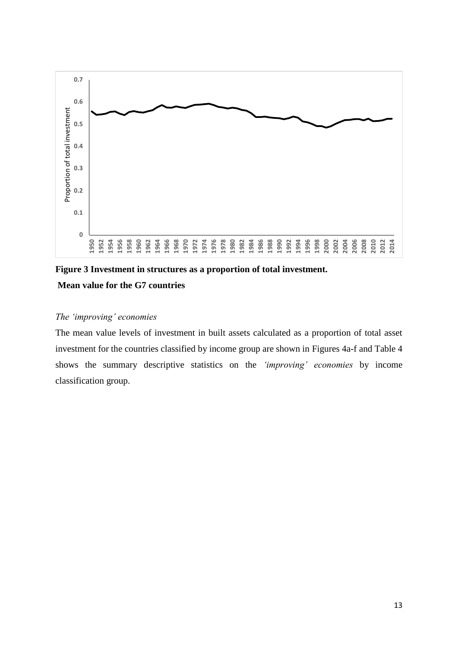

**Figure 3 Investment in structures as a proportion of total investment. Mean value for the G7 countries**

# *The 'improving' economies*

The mean value levels of investment in built assets calculated as a proportion of total asset investment for the countries classified by income group are shown in Figures 4a-f and Table 4 shows the summary descriptive statistics on the *'improving' economies* by income classification group.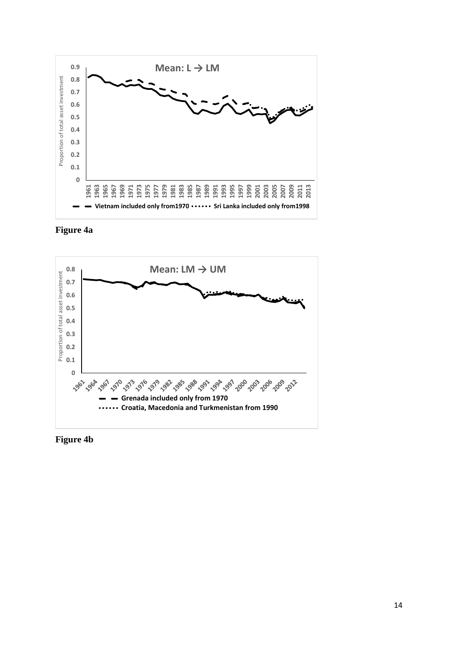





**Figure 4b**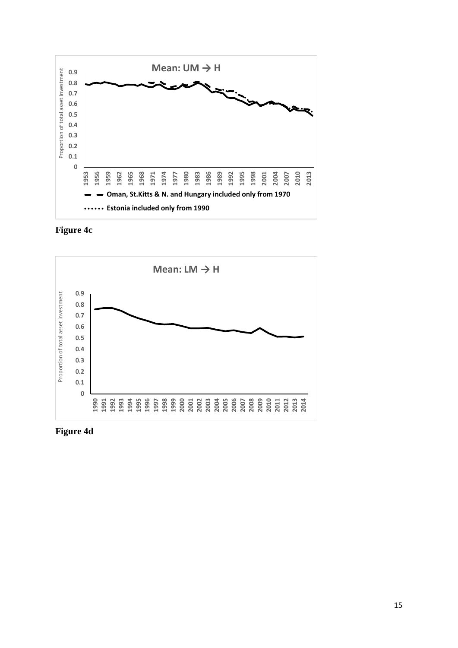





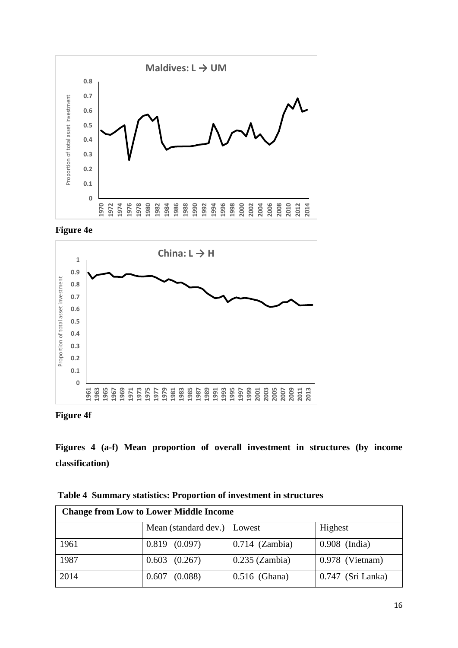





**Figure 4f**

**Figures 4 (a-f) Mean proportion of overall investment in structures (by income classification)** 

| Table 4 Summary statistics: Proportion of investment in structures |
|--------------------------------------------------------------------|
|--------------------------------------------------------------------|

| <b>Change from Low to Lower Middle Income</b> |                               |                  |                   |  |
|-----------------------------------------------|-------------------------------|------------------|-------------------|--|
|                                               | Mean (standard dev.)   Lowest |                  | Highest           |  |
| 1961                                          | $0.819$ $(0.097)$             | $0.714$ (Zambia) | $0.908$ (India)   |  |
| 1987                                          | $0.603$ $(0.267)$             | $0.235$ (Zambia) | 0.978 (Vietnam)   |  |
| 2014                                          | 0.607<br>(0.088)              | $0.516$ (Ghana)  | 0.747 (Sri Lanka) |  |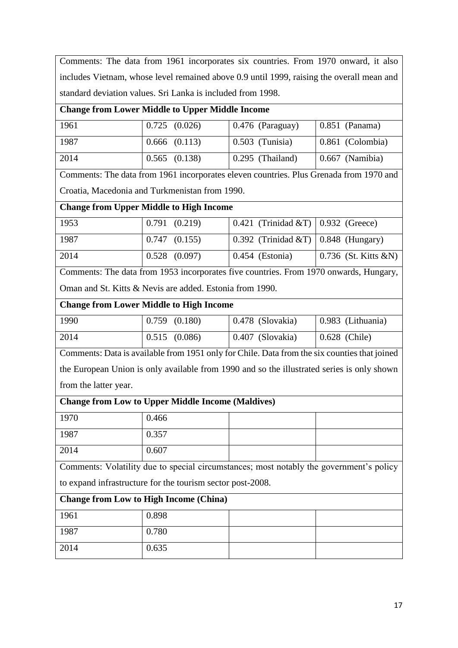Comments: The data from 1961 incorporates six countries. From 1970 onward, it also includes Vietnam, whose level remained above 0.9 until 1999, raising the overall mean and standard deviation values. Sri Lanka is included from 1998.

# **Change from Lower Middle to Upper Middle Income**

| 1961 | $0.725$ $(0.026)$ | $\vert 0.476 \vert$ (Paraguay) | $\vert 0.851 \vert$ (Panama)   |
|------|-------------------|--------------------------------|--------------------------------|
| 1987 | $0.666$ $(0.113)$ | $0.503$ (Tunisia)              | $\vert 0.861 \vert$ (Colombia) |
| 2014 | $0.565$ $(0.138)$ | $0.295$ (Thailand)             | $\vert$ 0.667 (Namibia)        |

Comments: The data from 1961 incorporates eleven countries. Plus Grenada from 1970 and Croatia, Macedonia and Turkmenistan from 1990.

# **Change from Upper Middle to High Income**

| 1953  | 0.791(0.219)      | $\vert 0.421 \vert$ (Trinidad &T) $\vert 0.932 \vert$ (Greece)  |                                      |
|-------|-------------------|-----------------------------------------------------------------|--------------------------------------|
| -1987 | $0.747$ $(0.155)$ | $\vert 0.392 \vert$ (Trinidad &T) $\vert 0.848 \vert$ (Hungary) |                                      |
| 2014  | $0.528$ $(0.097)$ | $\vert$ 0.454 (Estonia)                                         | $\vert 0.736 \rangle$ (St. Kitts &N) |

Comments: The data from 1953 incorporates five countries. From 1970 onwards, Hungary, Oman and St. Kitts & Nevis are added. Estonia from 1990.

# **Change from Lower Middle to High Income**

| 1990 | $\vert 0.759 \vert (0.180) \vert$ | $\mid 0.478$ (Slovakia) | $\vert$ 0.983 (Lithuania) |
|------|-----------------------------------|-------------------------|---------------------------|
| 2014 | $\vert 0.515 \vert (0.086) \vert$ | $\mid 0.407$ (Slovakia) | $\vert$ 0.628 (Chile)     |

Comments: Data is available from 1951 only for Chile. Data from the six counties that joined the European Union is only available from 1990 and so the illustrated series is only shown from the latter year.

# **Change from Low to Upper Middle Income (Maldives)** 1970 0.466 1987 | 0.357

Comments: Volatility due to special circumstances; most notably the government's policy to expand infrastructure for the tourism sector post-2008.

# **Change from Low to High Income (China)**

2014 0.607

| 1961 | 0.898 |  |
|------|-------|--|
| 1987 | 0.780 |  |
| 2014 | 0.635 |  |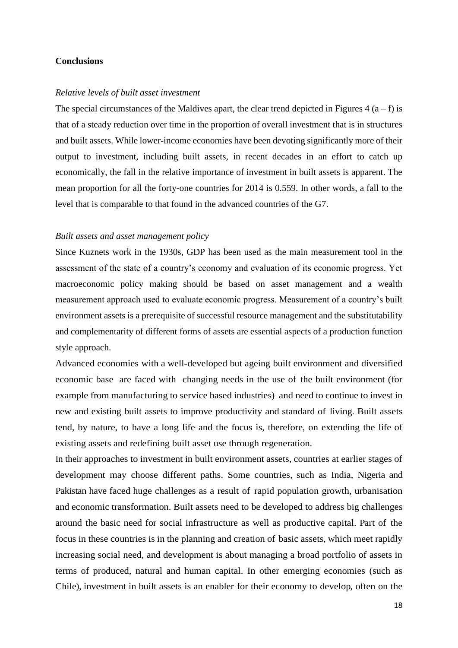#### **Conclusions**

#### *Relative levels of built asset investment*

The special circumstances of the Maldives apart, the clear trend depicted in Figures 4  $(a - f)$  is that of a steady reduction over time in the proportion of overall investment that is in structures and built assets. While lower-income economies have been devoting significantly more of their output to investment, including built assets, in recent decades in an effort to catch up economically, the fall in the relative importance of investment in built assets is apparent. The mean proportion for all the forty-one countries for 2014 is 0.559. In other words, a fall to the level that is comparable to that found in the advanced countries of the G7.

#### *Built assets and asset management policy*

Since Kuznets work in the 1930s, GDP has been used as the main measurement tool in the assessment of the state of a country's economy and evaluation of its economic progress. Yet macroeconomic policy making should be based on asset management and a wealth measurement approach used to evaluate economic progress. Measurement of a country's built environment assets is a prerequisite of successful resource management and the substitutability and complementarity of different forms of assets are essential aspects of a production function style approach.

Advanced economies with a well-developed but ageing built environment and diversified economic base are faced with changing needs in the use of the built environment (for example from manufacturing to service based industries) and need to continue to invest in new and existing built assets to improve productivity and standard of living. Built assets tend, by nature, to have a long life and the focus is, therefore, on extending the life of existing assets and redefining built asset use through regeneration.

In their approaches to investment in built environment assets, countries at earlier stages of development may choose different paths. Some countries, such as India, Nigeria and Pakistan have faced huge challenges as a result of rapid population growth, urbanisation and economic transformation. Built assets need to be developed to address big challenges around the basic need for social infrastructure as well as productive capital. Part of the focus in these countries is in the planning and creation of basic assets, which meet rapidly increasing social need, and development is about managing a broad portfolio of assets in terms of produced, natural and human capital. In other emerging economies (such as Chile), investment in built assets is an enabler for their economy to develop, often on the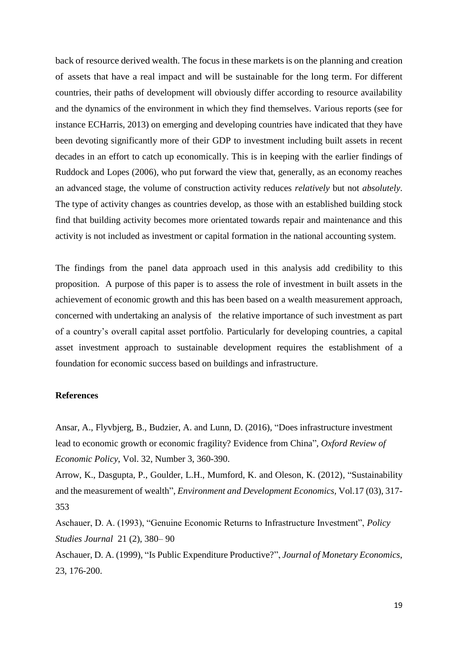back of resource derived wealth. The focus in these markets is on the planning and creation of assets that have a real impact and will be sustainable for the long term. For different countries, their paths of development will obviously differ according to resource availability and the dynamics of the environment in which they find themselves. Various reports (see for instance ECHarris, 2013) on emerging and developing countries have indicated that they have been devoting significantly more of their GDP to investment including built assets in recent decades in an effort to catch up economically. This is in keeping with the earlier findings of Ruddock and Lopes (2006), who put forward the view that, generally, as an economy reaches an advanced stage, the volume of construction activity reduces *relatively* but not *absolutely*. The type of activity changes as countries develop, as those with an established building stock find that building activity becomes more orientated towards repair and maintenance and this activity is not included as investment or capital formation in the national accounting system.

The findings from the panel data approach used in this analysis add credibility to this proposition. A purpose of this paper is to assess the role of investment in built assets in the achievement of economic growth and this has been based on a wealth measurement approach, concerned with undertaking an analysis of the relative importance of such investment as part of a country's overall capital asset portfolio. Particularly for developing countries, a capital asset investment approach to sustainable development requires the establishment of a foundation for economic success based on buildings and infrastructure.

#### **References**

Ansar, A., Flyvbjerg, B., Budzier, A. and Lunn, D. (2016), "Does infrastructure investment lead to economic growth or economic fragility? Evidence from China", *Oxford Review of Economic Policy*, Vol. 32, Number 3, 360-390.

Arrow, K., Dasgupta, P., Goulder, L.H., Mumford, K. and Oleson, K. (2012), "Sustainability and the measurement of wealth", *Environment and Development Economics,* Vol.17 (03), 317- 353

Aschauer, D. A. (1993), "Genuine Economic Returns to Infrastructure Investment", *Policy Studies Journal* 21 (2), 380– 90

Aschauer, D. A. (1999), "Is Public Expenditure Productive?", *Journal of Monetary Economics*, 23, 176-200.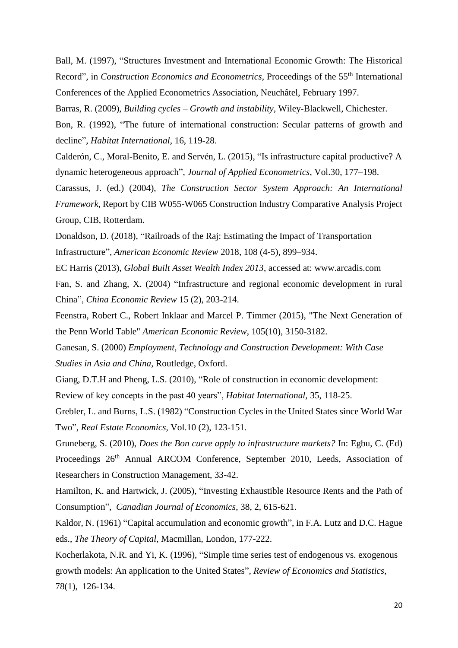Ball, M. (1997), "Structures Investment and International Economic Growth: The Historical Record", in *Construction Economics and Econometrics*, Proceedings of the 55<sup>th</sup> International Conferences of the Applied Econometrics Association, Neuchâtel, February 1997.

Barras, R. (2009), *Building cycles – Growth and instability*, Wiley-Blackwell, Chichester.

Bon, R. (1992), "The future of international construction: Secular patterns of growth and decline", *Habitat International*, 16, 119-28.

Calderón, C., Moral-Benito, E. and Servén, L. (2015), ["Is infrastructure capital productive? A](http://onlinelibrary.wiley.com/doi/10.1002/jae.2373/full)  [dynamic heterogeneous approach",](http://onlinelibrary.wiley.com/doi/10.1002/jae.2373/full) *Journal of Applied Econometrics*, Vol.30, 177–198.

Carassus, J. (ed.) (2004), *The Construction Sector System Approach: An International Framework,* Report by CIB W055-W065 Construction Industry Comparative Analysis Project Group, CIB, Rotterdam.

Donaldson, D. (2018), "Railroads of the Raj: Estimating the Impact of Transportation Infrastructure", *American Economic Review* 2018, 108 (4-5), 899–934.

EC Harris (2013), *Global Built Asset Wealth Index 2013*, accessed at: www.arcadis.com

Fan, S. and Zhang, X. (2004) "Infrastructure and regional economic development in rural China", *China Economic Review* 15 (2), 203-214.

Feenstra, Robert C., Robert Inklaar and Marcel P. Timmer (2015), "The Next Generation of the Penn World Table" *American Economic Review*, 105(10), 3150-3182.

Ganesan, S. (2000) *Employment, Technology and Construction Development: With Case Studies in Asia and China,* Routledge, Oxford.

Giang, D.T.H and Pheng, L.S. (2010), "Role of construction in economic development: Review of key concepts in the past 40 years", *Habitat International,* 35, 118-25.

Grebler, L. and Burns, L.S. (1982) "Construction Cycles in the United States since World War Two", *Real Estate Economics,* Vol.10 (2), 123-151.

Gruneberg, S. (2010), *Does the Bon curve apply to infrastructure markets?* In: Egbu, C. (Ed) Proceedings 26<sup>th</sup> Annual ARCOM Conference, September 2010, Leeds, Association of Researchers in Construction Management, 33-42.

Hamilton, K. and Hartwick, J. (2005), "Investing Exhaustible Resource Rents and the Path of Consumption", *Canadian Journal of Economics*, 38, 2, 615-621.

Kaldor, N. (1961) "Capital accumulation and economic growth", in F.A. Lutz and D.C. Hague eds., *The Theory of Capital,* Macmillan, London, 177-222.

Kocherlakota, N.R. and Yi, K. (1996), "Simple time series test of endogenous vs. exogenous growth models: An application to the United States"*, Review of Economics and Statistics,*  78(1), 126-134.